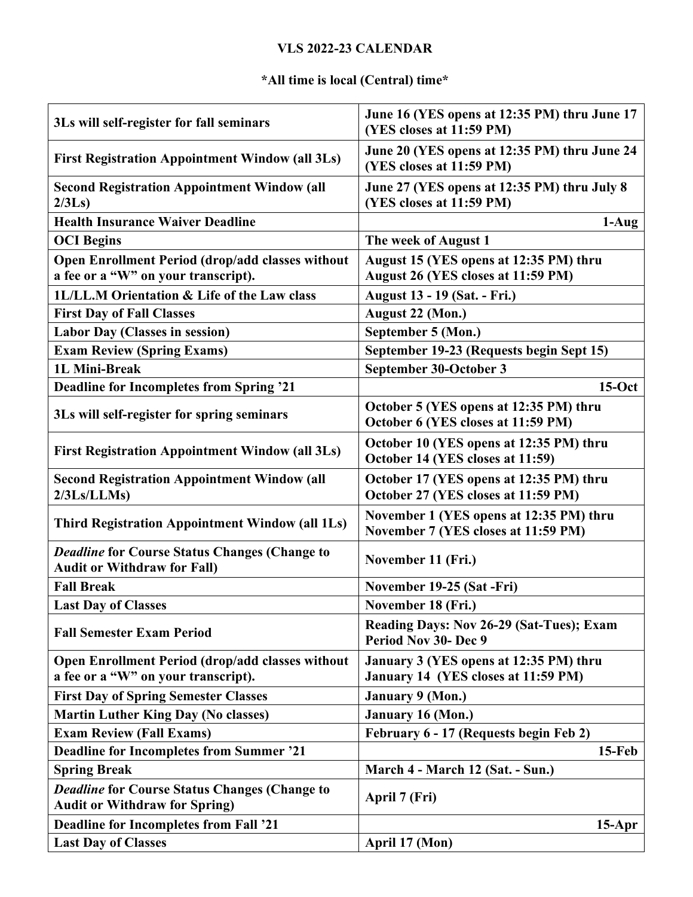## **VLS 2022-23 CALENDAR**

## **\*All time is local (Central) time\***

| 3Ls will self-register for fall seminars                                                       | June 16 (YES opens at 12:35 PM) thru June 17<br>(YES closes at 11:59 PM)       |
|------------------------------------------------------------------------------------------------|--------------------------------------------------------------------------------|
| <b>First Registration Appointment Window (all 3Ls)</b>                                         | June 20 (YES opens at 12:35 PM) thru June 24<br>(YES closes at 11:59 PM)       |
| <b>Second Registration Appointment Window (all</b><br>2/3Ls                                    | June 27 (YES opens at 12:35 PM) thru July 8<br>(YES closes at 11:59 PM)        |
| <b>Health Insurance Waiver Deadline</b>                                                        | $1-Aug$                                                                        |
| <b>OCI Begins</b>                                                                              | The week of August 1                                                           |
| <b>Open Enrollment Period (drop/add classes without</b><br>a fee or a "W" on your transcript). | August 15 (YES opens at 12:35 PM) thru<br>August 26 (YES closes at 11:59 PM)   |
| 1L/LL.M Orientation & Life of the Law class                                                    | <b>August 13 - 19 (Sat. - Fri.)</b>                                            |
| <b>First Day of Fall Classes</b>                                                               | August 22 (Mon.)                                                               |
| <b>Labor Day (Classes in session)</b>                                                          | September 5 (Mon.)                                                             |
| <b>Exam Review (Spring Exams)</b>                                                              | September 19-23 (Requests begin Sept 15)                                       |
| 1L Mini-Break                                                                                  | September 30-October 3                                                         |
| <b>Deadline for Incompletes from Spring '21</b>                                                | $15-Oct$                                                                       |
| 3Ls will self-register for spring seminars                                                     | October 5 (YES opens at 12:35 PM) thru<br>October 6 (YES closes at 11:59 PM)   |
| <b>First Registration Appointment Window (all 3Ls)</b>                                         | October 10 (YES opens at 12:35 PM) thru<br>October 14 (YES closes at 11:59)    |
| <b>Second Registration Appointment Window (all</b><br>2/3Ls/LLMs                               | October 17 (YES opens at 12:35 PM) thru<br>October 27 (YES closes at 11:59 PM) |
| <b>Third Registration Appointment Window (all 1Ls)</b>                                         | November 1 (YES opens at 12:35 PM) thru<br>November 7 (YES closes at 11:59 PM) |
| <b>Deadline for Course Status Changes (Change to</b><br><b>Audit or Withdraw for Fall)</b>     | November 11 (Fri.)                                                             |
| <b>Fall Break</b>                                                                              | November 19-25 (Sat-Fri)                                                       |
| <b>Last Day of Classes</b>                                                                     | November 18 (Fri.)                                                             |
| <b>Fall Semester Exam Period</b>                                                               | Reading Days: Nov 26-29 (Sat-Tues); Exam<br><b>Period Nov 30- Dec 9</b>        |
| <b>Open Enrollment Period (drop/add classes without</b><br>a fee or a "W" on your transcript). | January 3 (YES opens at 12:35 PM) thru<br>January 14 (YES closes at 11:59 PM)  |
| <b>First Day of Spring Semester Classes</b>                                                    | January 9 (Mon.)                                                               |
| <b>Martin Luther King Day (No classes)</b>                                                     | <b>January 16 (Mon.)</b>                                                       |
| <b>Exam Review (Fall Exams)</b>                                                                | February 6 - 17 (Requests begin Feb 2)                                         |
| <b>Deadline for Incompletes from Summer '21</b>                                                | $15$ -Feb                                                                      |
| <b>Spring Break</b>                                                                            | March 4 - March 12 (Sat. - Sun.)                                               |
| <b>Deadline for Course Status Changes (Change to</b>                                           |                                                                                |
| <b>Audit or Withdraw for Spring)</b>                                                           | April 7 (Fri)                                                                  |
| <b>Deadline for Incompletes from Fall '21</b>                                                  | $15-Apr$                                                                       |
| <b>Last Day of Classes</b>                                                                     | April 17 (Mon)                                                                 |